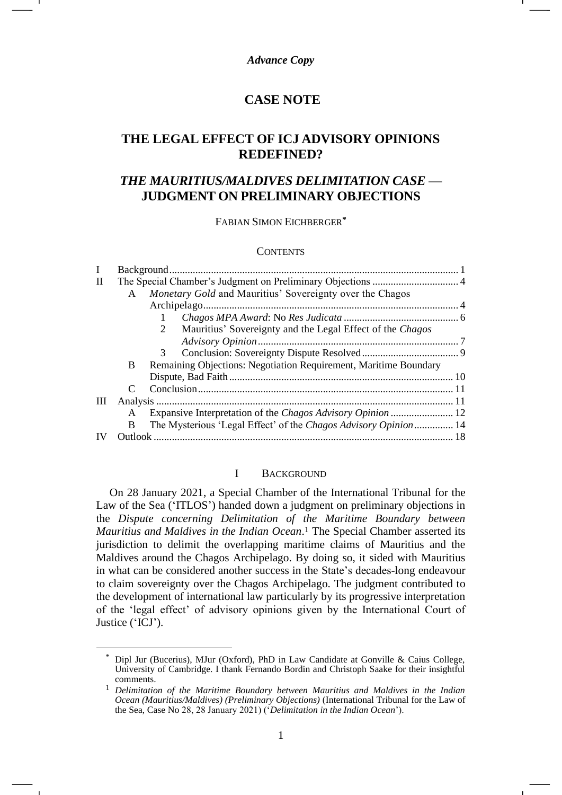## *Advance Copy*

# **CASE NOTE**

# **THE LEGAL EFFECT OF ICJ ADVISORY OPINIONS REDEFINED?**

# *THE MAURITIUS/MALDIVES DELIMITATION CASE* **— JUDGMENT ON PRELIMINARY OBJECTIONS**

FABIAN SIMON EICHBERGER**\***

#### **CONTENTS**

| I            |              |                                                                  |  |
|--------------|--------------|------------------------------------------------------------------|--|
| $\mathbf{I}$ |              |                                                                  |  |
|              | $\mathsf{A}$ | Monetary Gold and Mauritius' Sovereignty over the Chagos         |  |
|              |              |                                                                  |  |
|              |              |                                                                  |  |
|              |              | Mauritius' Sovereignty and the Legal Effect of the Chagos<br>2   |  |
|              |              |                                                                  |  |
|              |              | 3                                                                |  |
|              | B            | Remaining Objections: Negotiation Requirement, Maritime Boundary |  |
|              |              |                                                                  |  |
|              |              |                                                                  |  |
| Ш            |              |                                                                  |  |
|              | A            |                                                                  |  |
|              | B            | The Mysterious 'Legal Effect' of the Chagos Advisory Opinion 14  |  |
|              |              |                                                                  |  |

## <span id="page-0-1"></span>I BACKGROUND

<span id="page-0-0"></span>On 28 January 2021, a Special Chamber of the International Tribunal for the Law of the Sea ('ITLOS') handed down a judgment on preliminary objections in the *Dispute concerning Delimitation of the Maritime Boundary between Mauritius and Maldives in the Indian Ocean*. <sup>1</sup> The Special Chamber asserted its jurisdiction to delimit the overlapping maritime claims of Mauritius and the Maldives around the Chagos Archipelago. By doing so, it sided with Mauritius in what can be considered another success in the State's decades-long endeavour to claim sovereignty over the Chagos Archipelago. The judgment contributed to the development of international law particularly by its progressive interpretation of the 'legal effect' of advisory opinions given by the International Court of Justice ('ICJ').

Dipl Jur (Bucerius), MJur (Oxford), PhD in Law Candidate at Gonville & Caius College, University of Cambridge. I thank Fernando Bordin and Christoph Saake for their insightful comments.

<sup>1</sup> *Delimitation of the Maritime Boundary between Mauritius and Maldives in the Indian Ocean (Mauritius/Maldives) (Preliminary Objections)* (International Tribunal for the Law of the Sea, Case No 28, 28 January 2021) ('*Delimitation in the Indian Ocean*').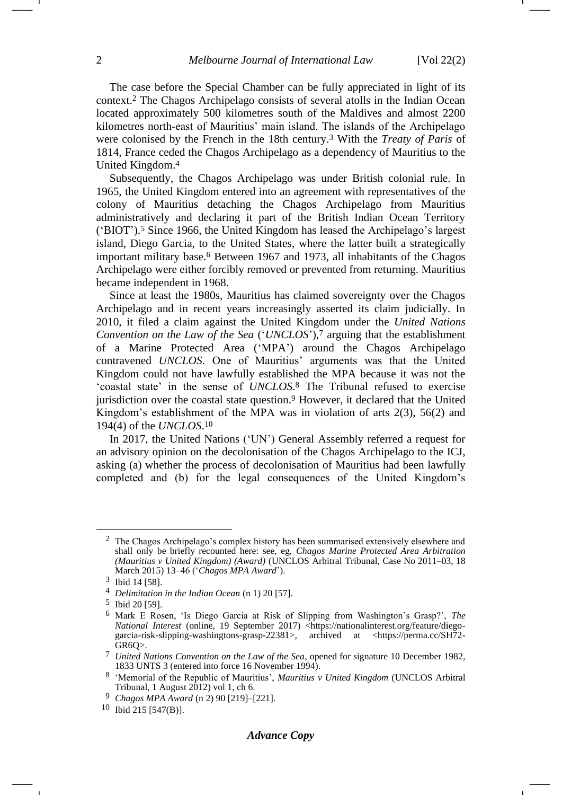<span id="page-1-0"></span>The case before the Special Chamber can be fully appreciated in light of its context.<sup>2</sup> The Chagos Archipelago consists of several atolls in the Indian Ocean located approximately 500 kilometres south of the Maldives and almost 2200 kilometres north-east of Mauritius' main island. The islands of the Archipelago were colonised by the French in the 18th century.<sup>3</sup> With the *Treaty of Paris* of 1814, France ceded the Chagos Archipelago as a dependency of Mauritius to the United Kingdom.<sup>4</sup>

Subsequently, the Chagos Archipelago was under British colonial rule. In 1965, the United Kingdom entered into an agreement with representatives of the colony of Mauritius detaching the Chagos Archipelago from Mauritius administratively and declaring it part of the British Indian Ocean Territory ('BIOT').<sup>5</sup> Since 1966, the United Kingdom has leased the Archipelago's largest island, Diego Garcia, to the United States, where the latter built a strategically important military base.<sup>6</sup> Between 1967 and 1973, all inhabitants of the Chagos Archipelago were either forcibly removed or prevented from returning. Mauritius became independent in 1968.

Since at least the 1980s, Mauritius has claimed sovereignty over the Chagos Archipelago and in recent years increasingly asserted its claim judicially. In 2010, it filed a claim against the United Kingdom under the *United Nations Convention on the Law of the Sea* ('*UNCLOS*'),<sup>7</sup> arguing that the establishment of a Marine Protected Area ('MPA') around the Chagos Archipelago contravened *UNCLOS*. One of Mauritius' arguments was that the United Kingdom could not have lawfully established the MPA because it was not the 'coastal state' in the sense of *UNCLOS*. <sup>8</sup> The Tribunal refused to exercise jurisdiction over the coastal state question.<sup>9</sup> However, it declared that the United Kingdom's establishment of the MPA was in violation of arts 2(3), 56(2) and 194(4) of the *UNCLOS*. 10

In 2017, the United Nations ('UN') General Assembly referred a request for an advisory opinion on the decolonisation of the Chagos Archipelago to the ICJ, asking (a) whether the process of decolonisation of Mauritius had been lawfully completed and (b) for the legal consequences of the United Kingdom's

<sup>&</sup>lt;sup>2</sup> The Chagos Archipelago's complex history has been summarised extensively elsewhere and shall only be briefly recounted here: see, eg, *Chagos Marine Protected Area Arbitration (Mauritius v United Kingdom) (Award)* (UNCLOS Arbitral Tribunal, Case No 2011–03, 18 March 2015) 13–46 ('*Chagos MPA Award*').

<sup>3</sup> Ibid 14 [58].

<sup>4</sup> *Delimitation in the Indian Ocean* (n [1\)](#page-0-1) 20 [57].

<sup>5</sup> Ibid 20 [59].

<sup>6</sup> Mark E Rosen, 'Is Diego Garcia at Risk of Slipping from Washington's Grasp?', *The National Interest* (online, 19 September 2017) <https://nationalinterest.org/feature/diegogarcia-risk-slipping-washingtons-grasp-22381>, archived at <https://perma.cc/SH72- GR6Q>.

<sup>7</sup> *United Nations Convention on the Law of the Sea*, opened for signature 10 December 1982, 1833 UNTS 3 (entered into force 16 November 1994).

<sup>8</sup> 'Memorial of the Republic of Mauritius', *Mauritius v United Kingdom* (UNCLOS Arbitral Tribunal, 1 August  $2012$ ) vol 1, ch 6.

<sup>9</sup> *Chagos MPA Award* (n [2\)](#page-1-0) 90 [219]–[221].

<sup>10</sup> Ibid 215 [547(B)].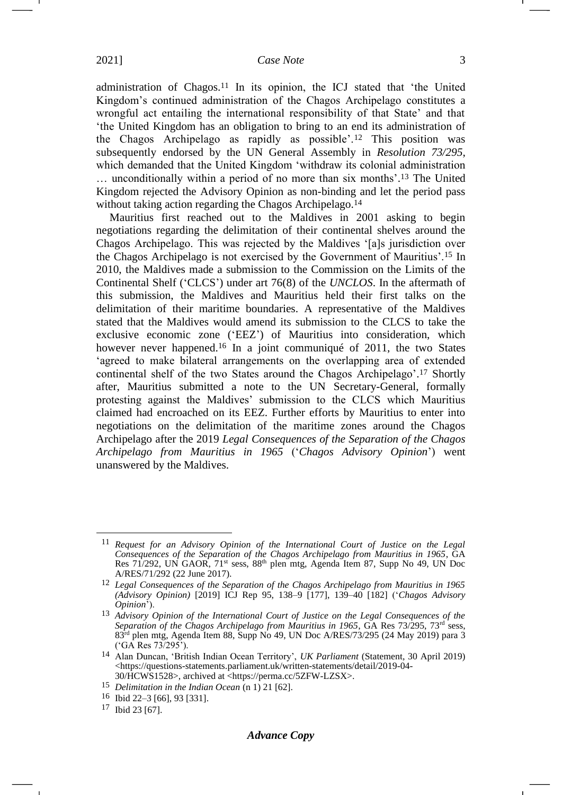<span id="page-2-0"></span>administration of Chagos.<sup>11</sup> In its opinion, the ICJ stated that 'the United Kingdom's continued administration of the Chagos Archipelago constitutes a wrongful act entailing the international responsibility of that State' and that 'the United Kingdom has an obligation to bring to an end its administration of the Chagos Archipelago as rapidly as possible'.<sup>12</sup> This position was subsequently endorsed by the UN General Assembly in *Resolution 73/295*, which demanded that the United Kingdom 'withdraw its colonial administration … unconditionally within a period of no more than six months'. <sup>13</sup> The United Kingdom rejected the Advisory Opinion as non-binding and let the period pass without taking action regarding the Chagos Archipelago.<sup>14</sup>

<span id="page-2-1"></span>Mauritius first reached out to the Maldives in 2001 asking to begin negotiations regarding the delimitation of their continental shelves around the Chagos Archipelago. This was rejected by the Maldives '[a]s jurisdiction over the Chagos Archipelago is not exercised by the Government of Mauritius'.<sup>15</sup> In 2010, the Maldives made a submission to the Commission on the Limits of the Continental Shelf ('CLCS') under art 76(8) of the *UNCLOS*. In the aftermath of this submission, the Maldives and Mauritius held their first talks on the delimitation of their maritime boundaries. A representative of the Maldives stated that the Maldives would amend its submission to the CLCS to take the exclusive economic zone ('EEZ') of Mauritius into consideration, which however never happened.<sup>16</sup> In a joint communiqué of 2011, the two States 'agreed to make bilateral arrangements on the overlapping area of extended continental shelf of the two States around the Chagos Archipelago'. <sup>17</sup> Shortly after, Mauritius submitted a note to the UN Secretary-General, formally protesting against the Maldives' submission to the CLCS which Mauritius claimed had encroached on its EEZ. Further efforts by Mauritius to enter into negotiations on the delimitation of the maritime zones around the Chagos Archipelago after the 2019 *Legal Consequences of the Separation of the Chagos Archipelago from Mauritius in 1965* ('*Chagos Advisory Opinion*') went unanswered by the Maldives.

<sup>11</sup> *Request for an Advisory Opinion of the International Court of Justice on the Legal Consequences of the Separation of the Chagos Archipelago from Mauritius in 1965*, GA Res 71/292, UN GAOR, 71st sess, 88th plen mtg, Agenda Item 87, Supp No 49, UN Doc A/RES/71/292 (22 June 2017).

<sup>12</sup> *Legal Consequences of the Separation of the Chagos Archipelago from Mauritius in 1965 (Advisory Opinion)* [2019] ICJ Rep 95, 138–9 [177], 139–40 [182] ('*Chagos Advisory Opinion*').

<sup>13</sup> *Advisory Opinion of the International Court of Justice on the Legal Consequences of the*  Separation of the Chagos Archipelago from Mauritius in 1965, GA Res 73/295, 73<sup>rd</sup> sess, 83rd plen mtg, Agenda Item 88, Supp No 49, UN Doc A/RES/73/295 (24 May 2019) para 3 ('GA Res 73/295').

<sup>14</sup> Alan Duncan, 'British Indian Ocean Territory', *UK Parliament* (Statement, 30 April 2019) <https://questions-statements.parliament.uk/written-statements/detail/2019-04- 30/HCWS1528>, archived at <https://perma.cc/5ZFW-LZSX>.

<sup>15</sup> *Delimitation in the Indian Ocean* (n [1\)](#page-0-1) 21 [62].

<sup>16</sup> Ibid 22–3 [66], 93 [331].

<sup>17</sup> Ibid 23 [67].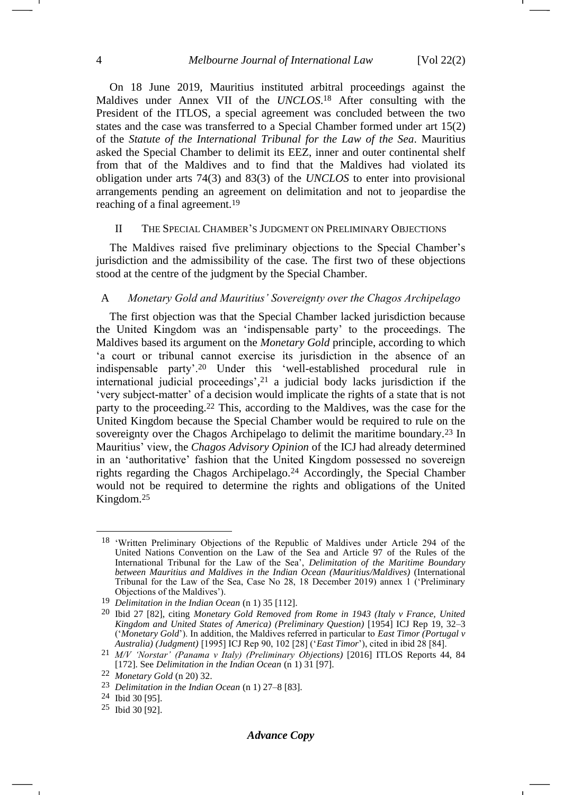<span id="page-3-3"></span>On 18 June 2019, Mauritius instituted arbitral proceedings against the Maldives under Annex VII of the *UNCLOS*. <sup>18</sup> After consulting with the President of the ITLOS, a special agreement was concluded between the two states and the case was transferred to a Special Chamber formed under art 15(2) of the *Statute of the International Tribunal for the Law of the Sea*. Mauritius asked the Special Chamber to delimit its EEZ, inner and outer continental shelf from that of the Maldives and to find that the Maldives had violated its obligation under arts 74(3) and 83(3) of the *UNCLOS* to enter into provisional arrangements pending an agreement on delimitation and not to jeopardise the reaching of a final agreement.<sup>19</sup>

## <span id="page-3-0"></span>II THE SPECIAL CHAMBER'S JUDGMENT ON PRELIMINARY OBJECTIONS

The Maldives raised five preliminary objections to the Special Chamber's jurisdiction and the admissibility of the case. The first two of these objections stood at the centre of the judgment by the Special Chamber.

## <span id="page-3-1"></span>A *Monetary Gold and Mauritius' Sovereignty over the Chagos Archipelago*

<span id="page-3-2"></span>The first objection was that the Special Chamber lacked jurisdiction because the United Kingdom was an 'indispensable party' to the proceedings. The Maldives based its argument on the *Monetary Gold* principle, according to which 'a court or tribunal cannot exercise its jurisdiction in the absence of an indispensable party'.<sup>20</sup> Under this 'well-established procedural rule in international judicial proceedings', <sup>21</sup> a judicial body lacks jurisdiction if the 'very subject-matter' of a decision would implicate the rights of a state that is not party to the proceeding.<sup>22</sup> This, according to the Maldives, was the case for the United Kingdom because the Special Chamber would be required to rule on the sovereignty over the Chagos Archipelago to delimit the maritime boundary.<sup>23</sup> In Mauritius' view, the *Chagos Advisory Opinion* of the ICJ had already determined in an 'authoritative' fashion that the United Kingdom possessed no sovereign rights regarding the Chagos Archipelago.<sup>24</sup> Accordingly, the Special Chamber would not be required to determine the rights and obligations of the United Kingdom.<sup>25</sup>

<sup>18</sup> 'Written Preliminary Objections of the Republic of Maldives under Article 294 of the United Nations Convention on the Law of the Sea and Article 97 of the Rules of the International Tribunal for the Law of the Sea', *Delimitation of the Maritime Boundary between Mauritius and Maldives in the Indian Ocean (Mauritius/Maldives)* (International Tribunal for the Law of the Sea, Case No 28, 18 December 2019) annex 1 ('Preliminary Objections of the Maldives').

<sup>19</sup> *Delimitation in the Indian Ocean* (n [1\)](#page-0-1) 35 [112].

<sup>20</sup> Ibid 27 [82], citing *Monetary Gold Removed from Rome in 1943 (Italy v France, United Kingdom and United States of America) (Preliminary Question)* [1954] ICJ Rep 19, 32–3 ('*Monetary Gold*'). In addition, the Maldives referred in particular to *East Timor (Portugal v Australia) (Judgment)* [1995] ICJ Rep 90, 102 [28] ('*East Timor*'), cited in ibid 28 [84].

<sup>21</sup> *M/V 'Norstar' (Panama v Italy) (Preliminary Objections)* [2016] ITLOS Reports 44, 84 [172]. See *Delimitation in the Indian Ocean* (n [1\)](#page-0-1) 31 [97].

<sup>22</sup> *Monetary Gold* (n [20\)](#page-3-2) 32.

<sup>23</sup> *Delimitation in the Indian Ocean* (n [1\)](#page-0-1) 27–8 [83].

<sup>24</sup> Ibid 30 [95].

<sup>25</sup> Ibid 30 [92].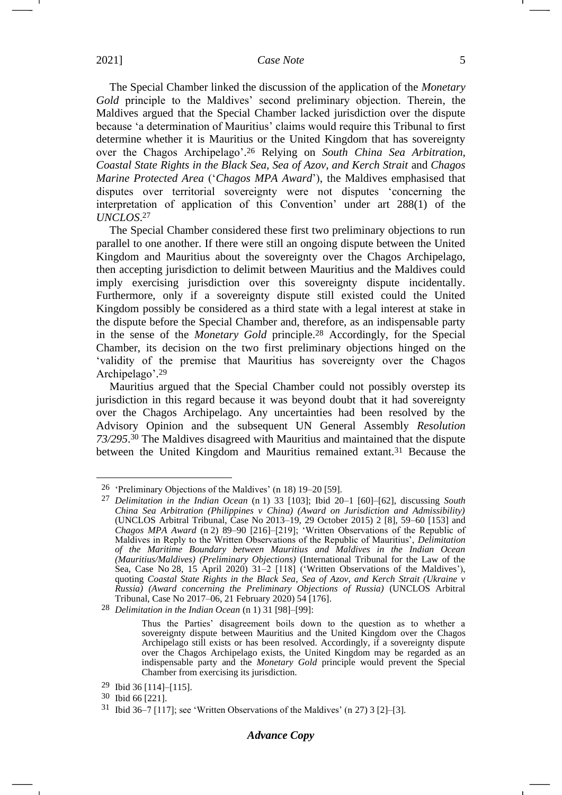The Special Chamber linked the discussion of the application of the *Monetary Gold* principle to the Maldives' second preliminary objection. Therein, the Maldives argued that the Special Chamber lacked jurisdiction over the dispute because 'a determination of Mauritius' claims would require this Tribunal to first determine whether it is Mauritius or the United Kingdom that has sovereignty over the Chagos Archipelago'. <sup>26</sup> Relying on *South China Sea Arbitration*, *Coastal State Rights in the Black Sea, Sea of Azov, and Kerch Strait* and *Chagos Marine Protected Area* ('*Chagos MPA Award*'), the Maldives emphasised that disputes over territorial sovereignty were not disputes 'concerning the interpretation of application of this Convention' under art 288(1) of the *UNCLOS*. 27

<span id="page-4-0"></span>The Special Chamber considered these first two preliminary objections to run parallel to one another. If there were still an ongoing dispute between the United Kingdom and Mauritius about the sovereignty over the Chagos Archipelago, then accepting jurisdiction to delimit between Mauritius and the Maldives could imply exercising jurisdiction over this sovereignty dispute incidentally. Furthermore, only if a sovereignty dispute still existed could the United Kingdom possibly be considered as a third state with a legal interest at stake in the dispute before the Special Chamber and, therefore, as an indispensable party in the sense of the *Monetary Gold* principle.<sup>28</sup> Accordingly, for the Special Chamber, its decision on the two first preliminary objections hinged on the 'validity of the premise that Mauritius has sovereignty over the Chagos Archipelago'. 29

Mauritius argued that the Special Chamber could not possibly overstep its jurisdiction in this regard because it was beyond doubt that it had sovereignty over the Chagos Archipelago. Any uncertainties had been resolved by the Advisory Opinion and the subsequent UN General Assembly *Resolution 73/295*. <sup>30</sup> The Maldives disagreed with Mauritius and maintained that the dispute between the United Kingdom and Mauritius remained extant.<sup>31</sup> Because the

<sup>26</sup> 'Preliminary Objections of the Maldives' (n [18\)](#page-3-3) 19–20 [59].

<sup>27</sup> *Delimitation in the Indian Ocean* (n [1\)](#page-0-1) 33 [103]; Ibid 20–1 [60]–[62], discussing *South China Sea Arbitration (Philippines v China) (Award on Jurisdiction and Admissibility)* (UNCLOS Arbitral Tribunal, Case No 2013–19, 29 October 2015) 2 [8], 59–60 [153] and *Chagos MPA Award* (n [2\)](#page-1-0) 89–90 [216]–[219]; 'Written Observations of the Republic of Maldives in Reply to the Written Observations of the Republic of Mauritius', *Delimitation of the Maritime Boundary between Mauritius and Maldives in the Indian Ocean (Mauritius/Maldives) (Preliminary Objections)* (International Tribunal for the Law of the Sea, Case No 28, 15 April 2020) 31–2 [118] ('Written Observations of the Maldives'), quoting *Coastal State Rights in the Black Sea, Sea of Azov, and Kerch Strait (Ukraine v Russia) (Award concerning the Preliminary Objections of Russia)* (UNCLOS Arbitral Tribunal, Case No 2017–06, 21 February 2020) 54 [176].

<sup>28</sup> *Delimitation in the Indian Ocean* (n [1\)](#page-0-1) 31 [98]–[99]:

Thus the Parties' disagreement boils down to the question as to whether a sovereignty dispute between Mauritius and the United Kingdom over the Chagos Archipelago still exists or has been resolved. Accordingly, if a sovereignty dispute over the Chagos Archipelago exists, the United Kingdom may be regarded as an indispensable party and the *Monetary Gold* principle would prevent the Special Chamber from exercising its jurisdiction.

<sup>29</sup> Ibid 36 [114]–[115].

<sup>30</sup> Ibid 66 [221].

<sup>31</sup> Ibid 36–7 [117]; see 'Written Observations of the Maldives' (n [27\)](#page-4-0) 3 [2]–[3].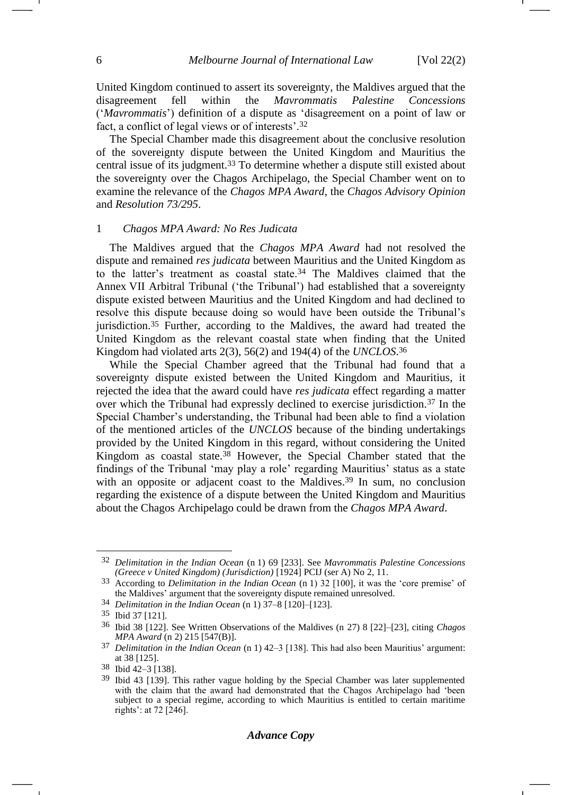United Kingdom continued to assert its sovereignty, the Maldives argued that the disagreement fell within the *Mavrommatis Palestine Concessions* ('*Mavrommatis*') definition of a dispute as 'disagreement on a point of law or fact, a conflict of legal views or of interests'.<sup>32</sup>

The Special Chamber made this disagreement about the conclusive resolution of the sovereignty dispute between the United Kingdom and Mauritius the central issue of its judgment.<sup>33</sup> To determine whether a dispute still existed about the sovereignty over the Chagos Archipelago, the Special Chamber went on to examine the relevance of the *Chagos MPA Award*, the *Chagos Advisory Opinion* and *Resolution 73/295*.

## <span id="page-5-0"></span>1 *Chagos MPA Award: No Res Judicata*

The Maldives argued that the *Chagos MPA Award* had not resolved the dispute and remained *res judicata* between Mauritius and the United Kingdom as to the latter's treatment as coastal state.<sup>34</sup> The Maldives claimed that the Annex VII Arbitral Tribunal ('the Tribunal') had established that a sovereignty dispute existed between Mauritius and the United Kingdom and had declined to resolve this dispute because doing so would have been outside the Tribunal's jurisdiction.<sup>35</sup> Further, according to the Maldives, the award had treated the United Kingdom as the relevant coastal state when finding that the United Kingdom had violated arts 2(3), 56(2) and 194(4) of the *UNCLOS*. 36

While the Special Chamber agreed that the Tribunal had found that a sovereignty dispute existed between the United Kingdom and Mauritius, it rejected the idea that the award could have *res judicata* effect regarding a matter over which the Tribunal had expressly declined to exercise jurisdiction.<sup>37</sup> In the Special Chamber's understanding, the Tribunal had been able to find a violation of the mentioned articles of the *UNCLOS* because of the binding undertakings provided by the United Kingdom in this regard, without considering the United Kingdom as coastal state.<sup>38</sup> However, the Special Chamber stated that the findings of the Tribunal 'may play a role' regarding Mauritius' status as a state with an opposite or adjacent coast to the Maldives.<sup>39</sup> In sum, no conclusion regarding the existence of a dispute between the United Kingdom and Mauritius about the Chagos Archipelago could be drawn from the *Chagos MPA Award*.

<sup>32</sup> *Delimitation in the Indian Ocean* (n [1\)](#page-0-1) 69 [233]. See *Mavrommatis Palestine Concessions (Greece v United Kingdom) (Jurisdiction)* [1924] PCIJ (ser A) No 2, 11.

<sup>33</sup> According to *Delimitation in the Indian Ocean* (n [1\)](#page-0-1) 32 [100], it was the 'core premise' of the Maldives' argument that the sovereignty dispute remained unresolved.

<sup>34</sup> *Delimitation in the Indian Ocean* (n [1\)](#page-0-1) 37–8 [120]–[123].

<sup>35</sup> Ibid 37 [121].

<sup>36</sup> Ibid 38 [122]. See Written Observations of the Maldives (n [27\)](#page-4-0) 8 [22]–[23], citing *Chagos MPA Award* (n [2\)](#page-1-0) 215 [547(B)].

<sup>37</sup> *Delimitation in the Indian Ocean* (n [1\)](#page-0-1) 42–3 [138]. This had also been Mauritius' argument: at 38 [125].

<sup>38</sup> Ibid 42–3 [138].

<sup>39</sup> Ibid 43 [139]. This rather vague holding by the Special Chamber was later supplemented with the claim that the award had demonstrated that the Chagos Archipelago had 'been subject to a special regime, according to which Mauritius is entitled to certain maritime rights': at 72 [246].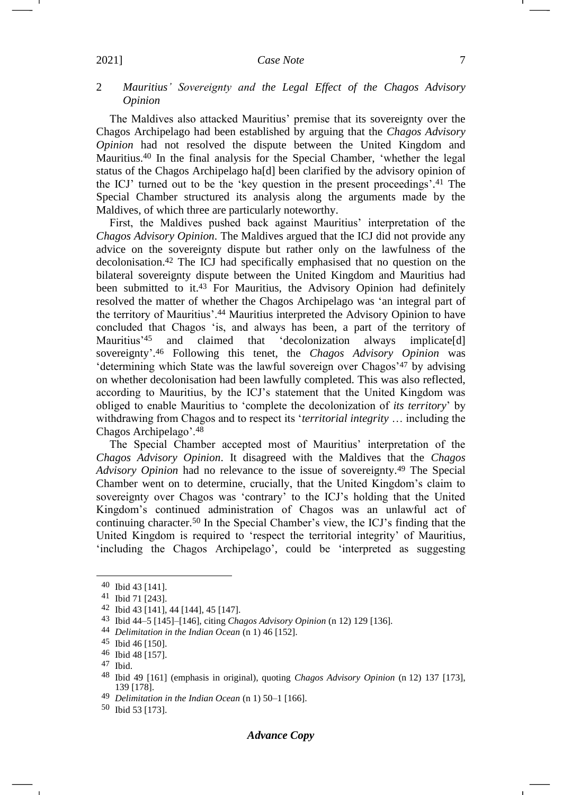## <span id="page-6-0"></span>2 *Mauritius' Sovereignty and the Legal Effect of the Chagos Advisory Opinion*

The Maldives also attacked Mauritius' premise that its sovereignty over the Chagos Archipelago had been established by arguing that the *Chagos Advisory Opinion* had not resolved the dispute between the United Kingdom and Mauritius.<sup>40</sup> In the final analysis for the Special Chamber, 'whether the legal status of the Chagos Archipelago ha[d] been clarified by the advisory opinion of the ICJ' turned out to be the 'key question in the present proceedings'. <sup>41</sup> The Special Chamber structured its analysis along the arguments made by the Maldives, of which three are particularly noteworthy.

First, the Maldives pushed back against Mauritius' interpretation of the *Chagos Advisory Opinion*. The Maldives argued that the ICJ did not provide any advice on the sovereignty dispute but rather only on the lawfulness of the decolonisation.<sup>42</sup> The ICJ had specifically emphasised that no question on the bilateral sovereignty dispute between the United Kingdom and Mauritius had been submitted to it.<sup>43</sup> For Mauritius, the Advisory Opinion had definitely resolved the matter of whether the Chagos Archipelago was 'an integral part of the territory of Mauritius'.<sup>44</sup> Mauritius interpreted the Advisory Opinion to have concluded that Chagos 'is, and always has been, a part of the territory of Mauritius'<sup>45</sup> and claimed that 'decolonization always implicate[d] sovereignty'. <sup>46</sup> Following this tenet, the *Chagos Advisory Opinion* was 'determining which State was the lawful sovereign over Chagos'<sup>47</sup> by advising on whether decolonisation had been lawfully completed. This was also reflected, according to Mauritius, by the ICJ's statement that the United Kingdom was obliged to enable Mauritius to 'complete the decolonization of *its territory*' by withdrawing from Chagos and to respect its '*territorial integrity* … including the Chagos Archipelago'.<sup>48</sup>

The Special Chamber accepted most of Mauritius' interpretation of the *Chagos Advisory Opinion*. It disagreed with the Maldives that the *Chagos Advisory Opinion* had no relevance to the issue of sovereignty.<sup>49</sup> The Special Chamber went on to determine, crucially, that the United Kingdom's claim to sovereignty over Chagos was 'contrary' to the ICJ's holding that the United Kingdom's continued administration of Chagos was an unlawful act of continuing character.<sup>50</sup> In the Special Chamber's view, the ICJ's finding that the United Kingdom is required to 'respect the territorial integrity' of Mauritius, 'including the Chagos Archipelago', could be 'interpreted as suggesting

<sup>40</sup> Ibid 43 [141].

<sup>41</sup> Ibid 71 [243].

<sup>42</sup> Ibid 43 [141], 44 [144], 45 [147].

<sup>43</sup> Ibid 44–5 [145]–[146], citing *Chagos Advisory Opinion* (n [12\)](#page-2-0) 129 [136].

<sup>44</sup> *Delimitation in the Indian Ocean* (n [1\)](#page-0-1) 46 [152].

<sup>45</sup> Ibid 46 [150].

<sup>46</sup> Ibid 48 [157].

<sup>47</sup> Ibid.

<sup>48</sup> Ibid 49 [161] (emphasis in original), quoting *Chagos Advisory Opinion* (n [12\)](#page-2-0) 137 [173], 139 [178].

<sup>49</sup> *Delimitation in the Indian Ocean* (n [1\)](#page-0-1) 50–1 [166].

<sup>50</sup> Ibid 53 [173].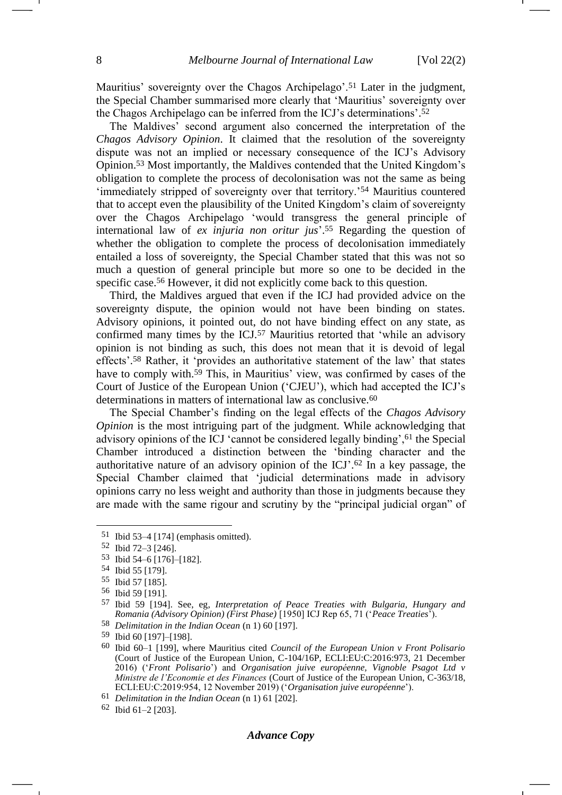-1

Mauritius' sovereignty over the Chagos Archipelago'.<sup>51</sup> Later in the judgment. the Special Chamber summarised more clearly that 'Mauritius' sovereignty over the Chagos Archipelago can be inferred from the ICJ's determinations'. 52

The Maldives' second argument also concerned the interpretation of the *Chagos Advisory Opinion*. It claimed that the resolution of the sovereignty dispute was not an implied or necessary consequence of the ICJ's Advisory Opinion.<sup>53</sup> Most importantly, the Maldives contended that the United Kingdom's obligation to complete the process of decolonisation was not the same as being 'immediately stripped of sovereignty over that territory.'<sup>54</sup> Mauritius countered that to accept even the plausibility of the United Kingdom's claim of sovereignty over the Chagos Archipelago 'would transgress the general principle of international law of *ex injuria non oritur jus*'. <sup>55</sup> Regarding the question of whether the obligation to complete the process of decolonisation immediately entailed a loss of sovereignty, the Special Chamber stated that this was not so much a question of general principle but more so one to be decided in the specific case.<sup>56</sup> However, it did not explicitly come back to this question.

<span id="page-7-0"></span>Third, the Maldives argued that even if the ICJ had provided advice on the sovereignty dispute, the opinion would not have been binding on states. Advisory opinions, it pointed out, do not have binding effect on any state, as confirmed many times by the ICJ.<sup>57</sup> Mauritius retorted that 'while an advisory opinion is not binding as such, this does not mean that it is devoid of legal effects'. <sup>58</sup> Rather, it 'provides an authoritative statement of the law' that states have to comply with.<sup>59</sup> This, in Mauritius' view, was confirmed by cases of the Court of Justice of the European Union ('CJEU'), which had accepted the ICJ's determinations in matters of international law as conclusive.<sup>60</sup>

<span id="page-7-1"></span>The Special Chamber's finding on the legal effects of the *Chagos Advisory Opinion* is the most intriguing part of the judgment. While acknowledging that advisory opinions of the ICJ 'cannot be considered legally binding', <sup>61</sup> the Special Chamber introduced a distinction between the 'binding character and the authoritative nature of an advisory opinion of the ICJ'. <sup>62</sup> In a key passage, the Special Chamber claimed that 'judicial determinations made in advisory opinions carry no less weight and authority than those in judgments because they are made with the same rigour and scrutiny by the "principal judicial organ" of

## *Advance Copy*

 $51$  Ibid  $53-4$  [174] (emphasis omitted).

<sup>52</sup> Ibid 72–3 [246].

<sup>53</sup> Ibid 54–6 [176]–[182].

<sup>54</sup> Ibid 55 [179].

<sup>55</sup> Ibid 57 [185].

<sup>56</sup> Ibid 59 [191].

<sup>57</sup> Ibid 59 [194]. See, eg*, Interpretation of Peace Treaties with Bulgaria, Hungary and Romania (Advisory Opinion) (First Phase)* [1950] ICJ Rep 65, 71 ('*Peace Treaties*').

<sup>58</sup> *Delimitation in the Indian Ocean* (n [1\)](#page-0-1) 60 [197].

<sup>59</sup> Ibid 60 [197]–[198].

<sup>60</sup> Ibid 60–1 [199], where Mauritius cited *Council of the European Union v Front Polisario*  (Court of Justice of the European Union, C-104/16P, ECLI:EU:C:2016:973, 21 December 2016) ('*Front Polisario*') and *Organisation juive européenne, Vignoble Psagot Ltd v Ministre de l'Economie et des Finances* (Court of Justice of the European Union, C-363/18, ECLI:EU:C:2019:954, 12 November 2019) ('*Organisation juive européenne*').

<sup>61</sup> *Delimitation in the Indian Ocean* (n [1\)](#page-0-1) 61 [202].

<sup>62</sup> Ibid 61–2 [203].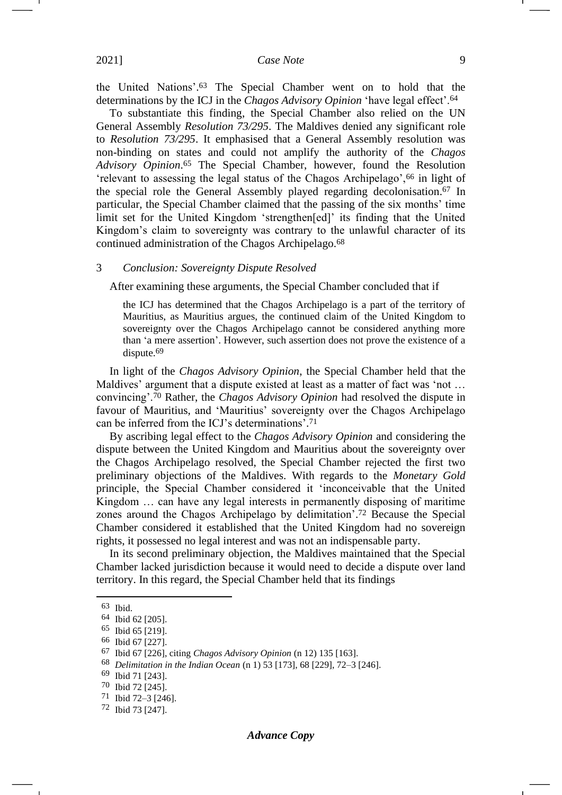the United Nations'. <sup>63</sup> The Special Chamber went on to hold that the determinations by the ICJ in the *Chagos Advisory Opinion* 'have legal effect'.<sup>64</sup>

To substantiate this finding, the Special Chamber also relied on the UN General Assembly *Resolution 73/295*. The Maldives denied any significant role to *Resolution 73/295*. It emphasised that a General Assembly resolution was non-binding on states and could not amplify the authority of the *Chagos Advisory Opinion*. <sup>65</sup> The Special Chamber, however, found the Resolution 'relevant to assessing the legal status of the Chagos Archipelago',<sup>66</sup> in light of the special role the General Assembly played regarding decolonisation.<sup>67</sup> In particular, the Special Chamber claimed that the passing of the six months' time limit set for the United Kingdom 'strengthen[ed]' its finding that the United Kingdom's claim to sovereignty was contrary to the unlawful character of its continued administration of the Chagos Archipelago.<sup>68</sup>

## <span id="page-8-0"></span>3 *Conclusion: Sovereignty Dispute Resolved*

After examining these arguments, the Special Chamber concluded that if

the ICJ has determined that the Chagos Archipelago is a part of the territory of Mauritius, as Mauritius argues, the continued claim of the United Kingdom to sovereignty over the Chagos Archipelago cannot be considered anything more than 'a mere assertion'. However, such assertion does not prove the existence of a dispute.<sup>69</sup>

In light of the *Chagos Advisory Opinion*, the Special Chamber held that the Maldives' argument that a dispute existed at least as a matter of fact was 'not … convincing'.<sup>70</sup> Rather, the *Chagos Advisory Opinion* had resolved the dispute in favour of Mauritius, and 'Mauritius' sovereignty over the Chagos Archipelago can be inferred from the ICJ's determinations'. 71

<span id="page-8-1"></span>By ascribing legal effect to the *Chagos Advisory Opinion* and considering the dispute between the United Kingdom and Mauritius about the sovereignty over the Chagos Archipelago resolved, the Special Chamber rejected the first two preliminary objections of the Maldives. With regards to the *Monetary Gold*  principle, the Special Chamber considered it 'inconceivable that the United Kingdom … can have any legal interests in permanently disposing of maritime zones around the Chagos Archipelago by delimitation'. <sup>72</sup> Because the Special Chamber considered it established that the United Kingdom had no sovereign rights, it possessed no legal interest and was not an indispensable party.

In its second preliminary objection, the Maldives maintained that the Special Chamber lacked jurisdiction because it would need to decide a dispute over land territory. In this regard, the Special Chamber held that its findings

<sup>63</sup> Ibid.

<sup>64</sup> Ibid 62 [205].

<sup>65</sup> Ibid 65 [219].

<sup>66</sup> Ibid 67 [227].

<sup>67</sup> Ibid 67 [226], citing *Chagos Advisory Opinion* (n [12\)](#page-2-0) 135 [163].

<sup>68</sup> *Delimitation in the Indian Ocean* (n [1\)](#page-0-1) 53 [173], 68 [229], 72–3 [246].

<sup>69</sup> Ibid 71 [243].

<sup>70</sup> Ibid 72 [245].

<sup>71</sup> Ibid 72–3 [246].

<sup>72</sup> Ibid 73 [247].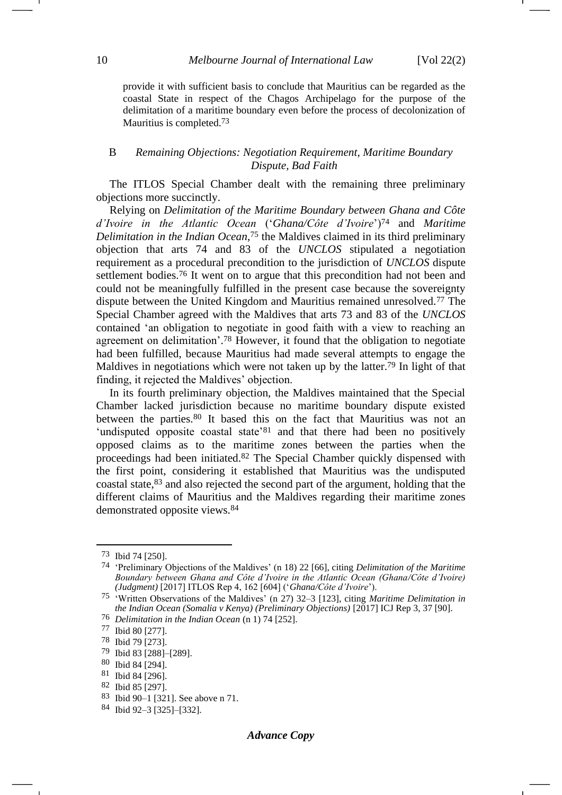provide it with sufficient basis to conclude that Mauritius can be regarded as the coastal State in respect of the Chagos Archipelago for the purpose of the delimitation of a maritime boundary even before the process of decolonization of Mauritius is completed.73

## <span id="page-9-1"></span><span id="page-9-0"></span>B *Remaining Objections: Negotiation Requirement, Maritime Boundary Dispute, Bad Faith*

The ITLOS Special Chamber dealt with the remaining three preliminary objections more succinctly.

Relying on *Delimitation of the Maritime Boundary between Ghana and Côte d'Ivoire in the Atlantic Ocean* ('*Ghana/Côte d'Ivoire*')<sup>74</sup> and *Maritime Delimitation in the Indian Ocean*, <sup>75</sup> the Maldives claimed in its third preliminary objection that arts 74 and 83 of the *UNCLOS* stipulated a negotiation requirement as a procedural precondition to the jurisdiction of *UNCLOS* dispute settlement bodies.<sup>76</sup> It went on to argue that this precondition had not been and could not be meaningfully fulfilled in the present case because the sovereignty dispute between the United Kingdom and Mauritius remained unresolved.<sup>77</sup> The Special Chamber agreed with the Maldives that arts 73 and 83 of the *UNCLOS* contained 'an obligation to negotiate in good faith with a view to reaching an agreement on delimitation'. <sup>78</sup> However, it found that the obligation to negotiate had been fulfilled, because Mauritius had made several attempts to engage the Maldives in negotiations which were not taken up by the latter.<sup>79</sup> In light of that finding, it rejected the Maldives' objection.

In its fourth preliminary objection, the Maldives maintained that the Special Chamber lacked jurisdiction because no maritime boundary dispute existed between the parties.<sup>80</sup> It based this on the fact that Mauritius was not an 'undisputed opposite coastal state'<sup>81</sup> and that there had been no positively opposed claims as to the maritime zones between the parties when the proceedings had been initiated.<sup>82</sup> The Special Chamber quickly dispensed with the first point, considering it established that Mauritius was the undisputed coastal state,<sup>83</sup> and also rejected the second part of the argument, holding that the different claims of Mauritius and the Maldives regarding their maritime zones demonstrated opposite views.<sup>84</sup>

<sup>73</sup> Ibid 74 [250].

<sup>74</sup> 'Preliminary Objections of the Maldives' (n [18\)](#page-3-3) 22 [66], citing *Delimitation of the Maritime Boundary between Ghana and Côte d'Ivoire in the Atlantic Ocean (Ghana/Côte d'Ivoire) (Judgment)* [2017] ITLOS Rep 4, 162 [604] ('*Ghana/Côte d'Ivoire*').

<sup>75</sup> 'Written Observations of the Maldives' (n [27\)](#page-4-0) 32–3 [123], citing *Maritime Delimitation in the Indian Ocean (Somalia v Kenya) (Preliminary Objections)* [2017] ICJ Rep 3, 37 [90].

<sup>76</sup> *Delimitation in the Indian Ocean* (n [1\)](#page-0-1) 74 [252].

<sup>77</sup> Ibid 80 [277].

<sup>78</sup> Ibid 79 [273].

<sup>79</sup> Ibid 83 [288]–[289].

<sup>80</sup> Ibid 84 [294].

<sup>81</sup> Ibid 84 [296].

<sup>82</sup> Ibid 85 [297].

<sup>83</sup> Ibid 90–1 [321]. See above n [71.](#page-8-1)

<sup>84</sup> Ibid 92–3 [325]–[332].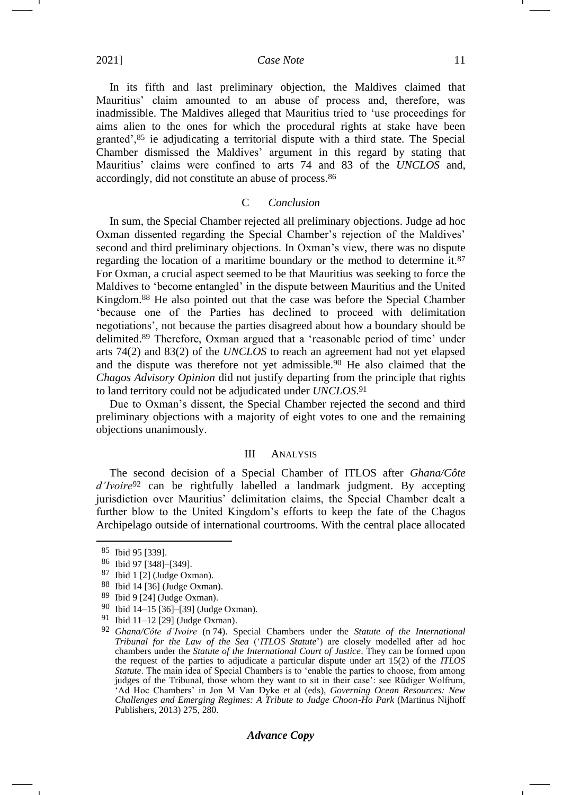In its fifth and last preliminary objection, the Maldives claimed that Mauritius' claim amounted to an abuse of process and, therefore, was inadmissible. The Maldives alleged that Mauritius tried to 'use proceedings for aims alien to the ones for which the procedural rights at stake have been granted',<sup>85</sup> ie adjudicating a territorial dispute with a third state. The Special Chamber dismissed the Maldives' argument in this regard by stating that Mauritius' claims were confined to arts 74 and 83 of the *UNCLOS* and, accordingly, did not constitute an abuse of process.<sup>86</sup>

## C *Conclusion*

<span id="page-10-0"></span>In sum, the Special Chamber rejected all preliminary objections. Judge ad hoc Oxman dissented regarding the Special Chamber's rejection of the Maldives' second and third preliminary objections. In Oxman's view, there was no dispute regarding the location of a maritime boundary or the method to determine it.<sup>87</sup> For Oxman, a crucial aspect seemed to be that Mauritius was seeking to force the Maldives to 'become entangled' in the dispute between Mauritius and the United Kingdom.<sup>88</sup> He also pointed out that the case was before the Special Chamber 'because one of the Parties has declined to proceed with delimitation negotiations', not because the parties disagreed about how a boundary should be delimited.<sup>89</sup> Therefore, Oxman argued that a 'reasonable period of time' under arts 74(2) and 83(2) of the *UNCLOS* to reach an agreement had not yet elapsed and the dispute was therefore not yet admissible.<sup>90</sup> He also claimed that the *Chagos Advisory Opinion* did not justify departing from the principle that rights to land territory could not be adjudicated under *UNCLOS*. 91

Due to Oxman's dissent, the Special Chamber rejected the second and third preliminary objections with a majority of eight votes to one and the remaining objections unanimously.

## III ANALYSIS

<span id="page-10-1"></span>The second decision of a Special Chamber of ITLOS after *Ghana/Côte d'Ivoire*<sup>92</sup> can be rightfully labelled a landmark judgment. By accepting jurisdiction over Mauritius' delimitation claims, the Special Chamber dealt a further blow to the United Kingdom's efforts to keep the fate of the Chagos Archipelago outside of international courtrooms. With the central place allocated

## *Advance Copy*

<sup>85</sup> Ibid 95 [339].

<sup>86</sup> Ibid 97 [348]–[349].

<sup>87</sup> Ibid 1 [2] (Judge Oxman).

<sup>88</sup> Ibid 14 [36] (Judge Oxman).

<sup>89</sup> Ibid 9 [24] (Judge Oxman).

<sup>90</sup> Ibid 14–15 [36]–[39] (Judge Oxman).

<sup>91</sup> Ibid 11–12 [29] (Judge Oxman).

<sup>92</sup> *Ghana/Côte d'Ivoire* (n [74\)](#page-9-1). Special Chambers under the *Statute of the International Tribunal for the Law of the Sea* ('*ITLOS Statute*') are closely modelled after ad hoc chambers under the *Statute of the International Court of Justice*. They can be formed upon the request of the parties to adjudicate a particular dispute under art 15(2) of the *ITLOS Statute*. The main idea of Special Chambers is to 'enable the parties to choose, from among judges of the Tribunal, those whom they want to sit in their case': see Rüdiger Wolfrum, 'Ad Hoc Chambers' in Jon M Van Dyke et al (eds), *Governing Ocean Resources: New Challenges and Emerging Regimes: A Tribute to Judge Choon-Ho Park* (Martinus Nijhoff Publishers, 2013) 275, 280.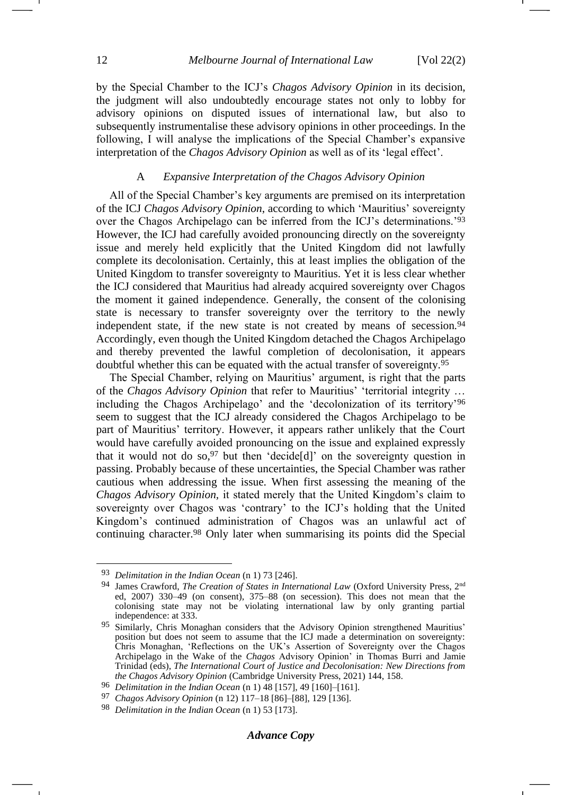by the Special Chamber to the ICJ's *Chagos Advisory Opinion* in its decision, the judgment will also undoubtedly encourage states not only to lobby for advisory opinions on disputed issues of international law, but also to subsequently instrumentalise these advisory opinions in other proceedings. In the following, I will analyse the implications of the Special Chamber's expansive interpretation of the *Chagos Advisory Opinion* as well as of its 'legal effect'.

## A *Expansive Interpretation of the Chagos Advisory Opinion*

<span id="page-11-0"></span>All of the Special Chamber's key arguments are premised on its interpretation of the ICJ *Chagos Advisory Opinion*, according to which 'Mauritius' sovereignty over the Chagos Archipelago can be inferred from the ICJ's determinations.'<sup>93</sup> However, the ICJ had carefully avoided pronouncing directly on the sovereignty issue and merely held explicitly that the United Kingdom did not lawfully complete its decolonisation. Certainly, this at least implies the obligation of the United Kingdom to transfer sovereignty to Mauritius. Yet it is less clear whether the ICJ considered that Mauritius had already acquired sovereignty over Chagos the moment it gained independence. Generally, the consent of the colonising state is necessary to transfer sovereignty over the territory to the newly independent state, if the new state is not created by means of secession.<sup>94</sup> Accordingly, even though the United Kingdom detached the Chagos Archipelago and thereby prevented the lawful completion of decolonisation, it appears doubtful whether this can be equated with the actual transfer of sovereignty.<sup>95</sup>

The Special Chamber, relying on Mauritius' argument, is right that the parts of the *Chagos Advisory Opinion* that refer to Mauritius' 'territorial integrity … including the Chagos Archipelago' and the 'decolonization of its territory'<sup>96</sup> seem to suggest that the ICJ already considered the Chagos Archipelago to be part of Mauritius' territory. However, it appears rather unlikely that the Court would have carefully avoided pronouncing on the issue and explained expressly that it would not do so,  $97$  but then 'decide[d]' on the sovereignty question in passing. Probably because of these uncertainties, the Special Chamber was rather cautious when addressing the issue. When first assessing the meaning of the *Chagos Advisory Opinion,* it stated merely that the United Kingdom's claim to sovereignty over Chagos was 'contrary' to the ICJ's holding that the United Kingdom's continued administration of Chagos was an unlawful act of continuing character.<sup>98</sup> Only later when summarising its points did the Special

<sup>93</sup> *Delimitation in the Indian Ocean* (n [1\)](#page-0-1) 73 [246].

<sup>94</sup> James Crawford, *The Creation of States in International Law* (Oxford University Press, 2nd ed, 2007) 330–49 (on consent), 375–88 (on secession). This does not mean that the colonising state may not be violating international law by only granting partial independence: at 333.

<sup>95</sup> Similarly, Chris Monaghan considers that the Advisory Opinion strengthened Mauritius' position but does not seem to assume that the ICJ made a determination on sovereignty: Chris Monaghan, 'Reflections on the UK's Assertion of Sovereignty over the Chagos Archipelago in the Wake of the *Chagos* Advisory Opinion' in Thomas Burri and Jamie Trinidad (eds), *The International Court of Justice and Decolonisation: New Directions from the Chagos Advisory Opinion* (Cambridge University Press, 2021) 144, 158.

<sup>96</sup> *Delimitation in the Indian Ocean* (n [1\)](#page-0-1) 48 [157], 49 [160]–[161].

<sup>97</sup> *Chagos Advisory Opinion* (n [12\)](#page-2-0) 117–18 [86]–[88], 129 [136].

<sup>98</sup> *Delimitation in the Indian Ocean* (n [1\)](#page-0-1) 53 [173].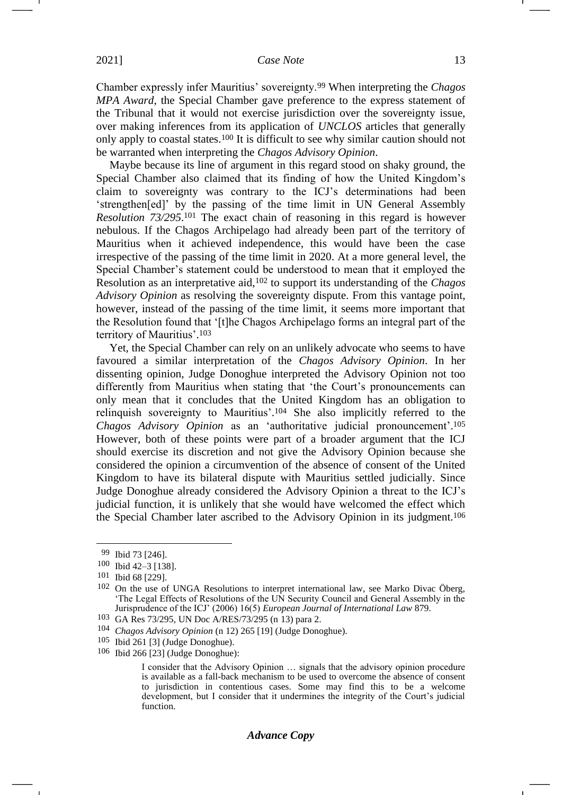Chamber expressly infer Mauritius' sovereignty.<sup>99</sup> When interpreting the *Chagos MPA Award*, the Special Chamber gave preference to the express statement of the Tribunal that it would not exercise jurisdiction over the sovereignty issue, over making inferences from its application of *UNCLOS* articles that generally only apply to coastal states.<sup>100</sup> It is difficult to see why similar caution should not be warranted when interpreting the *Chagos Advisory Opinion*.

Maybe because its line of argument in this regard stood on shaky ground, the Special Chamber also claimed that its finding of how the United Kingdom's claim to sovereignty was contrary to the ICJ's determinations had been 'strengthen[ed]' by the passing of the time limit in UN General Assembly *Resolution 73/295*. <sup>101</sup> The exact chain of reasoning in this regard is however nebulous. If the Chagos Archipelago had already been part of the territory of Mauritius when it achieved independence, this would have been the case irrespective of the passing of the time limit in 2020. At a more general level, the Special Chamber's statement could be understood to mean that it employed the Resolution as an interpretative aid,<sup>102</sup> to support its understanding of the *Chagos Advisory Opinion* as resolving the sovereignty dispute. From this vantage point, however, instead of the passing of the time limit, it seems more important that the Resolution found that '[t]he Chagos Archipelago forms an integral part of the territory of Mauritius'. 103

Yet, the Special Chamber can rely on an unlikely advocate who seems to have favoured a similar interpretation of the *Chagos Advisory Opinion*. In her dissenting opinion, Judge Donoghue interpreted the Advisory Opinion not too differently from Mauritius when stating that 'the Court's pronouncements can only mean that it concludes that the United Kingdom has an obligation to relinquish sovereignty to Mauritius'. <sup>104</sup> She also implicitly referred to the *Chagos Advisory Opinion* as an 'authoritative judicial pronouncement'. 105 However, both of these points were part of a broader argument that the ICJ should exercise its discretion and not give the Advisory Opinion because she considered the opinion a circumvention of the absence of consent of the United Kingdom to have its bilateral dispute with Mauritius settled judicially. Since Judge Donoghue already considered the Advisory Opinion a threat to the ICJ's judicial function, it is unlikely that she would have welcomed the effect which the Special Chamber later ascribed to the Advisory Opinion in its judgment.<sup>106</sup>

<sup>99</sup> Ibid 73 [246].

<sup>100</sup> Ibid 42–3 [138].

<sup>101</sup> Ibid 68 [229].

<sup>102</sup> On the use of UNGA Resolutions to interpret international law, see Marko Divac Öberg, 'The Legal Effects of Resolutions of the UN Security Council and General Assembly in the Jurisprudence of the ICJ' (2006) 16(5) *European Journal of International Law* 879.

<sup>103</sup> GA Res 73/295, UN Doc A/RES/73/295 (n [13\)](#page-2-1) para 2.

<sup>104</sup> *Chagos Advisory Opinion* (n [12\)](#page-2-0) 265 [19] (Judge Donoghue).

<sup>105</sup> Ibid 261 [3] (Judge Donoghue).

<sup>106</sup> Ibid 266 [23] (Judge Donoghue):

I consider that the Advisory Opinion … signals that the advisory opinion procedure is available as a fall-back mechanism to be used to overcome the absence of consent to jurisdiction in contentious cases. Some may find this to be a welcome development, but I consider that it undermines the integrity of the Court's judicial function.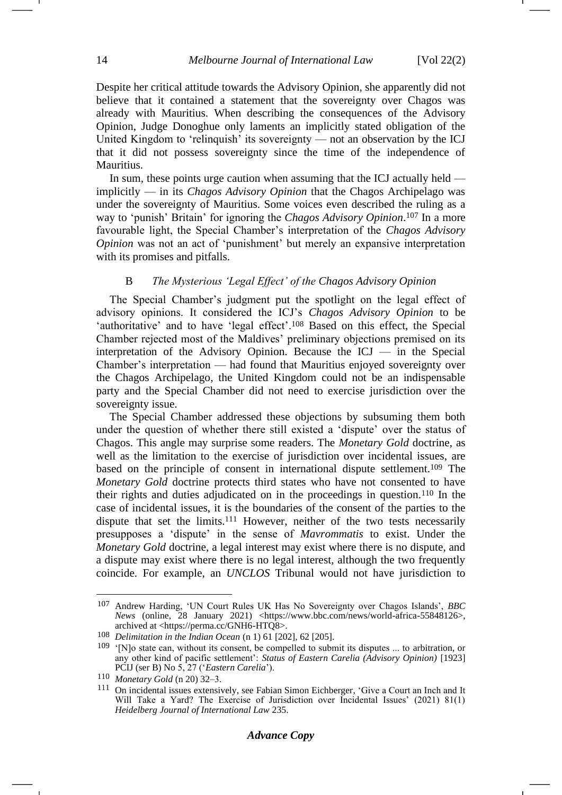Despite her critical attitude towards the Advisory Opinion, she apparently did not believe that it contained a statement that the sovereignty over Chagos was already with Mauritius. When describing the consequences of the Advisory Opinion, Judge Donoghue only laments an implicitly stated obligation of the United Kingdom to 'relinquish' its sovereignty — not an observation by the ICJ that it did not possess sovereignty since the time of the independence of Mauritius.

In sum, these points urge caution when assuming that the ICJ actually held implicitly — in its *Chagos Advisory Opinion* that the Chagos Archipelago was under the sovereignty of Mauritius. Some voices even described the ruling as a way to 'punish' Britain' for ignoring the *Chagos Advisory Opinion*. <sup>107</sup> In a more favourable light, the Special Chamber's interpretation of the *Chagos Advisory Opinion* was not an act of 'punishment' but merely an expansive interpretation with its promises and pitfalls.

## B *The Mysterious 'Legal Effect' of the Chagos Advisory Opinion*

<span id="page-13-0"></span>The Special Chamber's judgment put the spotlight on the legal effect of advisory opinions. It considered the ICJ's *Chagos Advisory Opinion* to be 'authoritative' and to have 'legal effect'.<sup>108</sup> Based on this effect, the Special Chamber rejected most of the Maldives' preliminary objections premised on its interpretation of the Advisory Opinion. Because the ICJ — in the Special Chamber's interpretation — had found that Mauritius enjoyed sovereignty over the Chagos Archipelago, the United Kingdom could not be an indispensable party and the Special Chamber did not need to exercise jurisdiction over the sovereignty issue.

The Special Chamber addressed these objections by subsuming them both under the question of whether there still existed a 'dispute' over the status of Chagos. This angle may surprise some readers. The *Monetary Gold* doctrine, as well as the limitation to the exercise of jurisdiction over incidental issues, are based on the principle of consent in international dispute settlement.<sup>109</sup> The *Monetary Gold* doctrine protects third states who have not consented to have their rights and duties adjudicated on in the proceedings in question.<sup>110</sup> In the case of incidental issues, it is the boundaries of the consent of the parties to the dispute that set the limits.<sup>111</sup> However, neither of the two tests necessarily presupposes a 'dispute' in the sense of *Mavrommatis* to exist. Under the *Monetary Gold* doctrine, a legal interest may exist where there is no dispute, and a dispute may exist where there is no legal interest, although the two frequently coincide. For example, an *UNCLOS* Tribunal would not have jurisdiction to

<sup>107</sup> Andrew Harding, 'UN Court Rules UK Has No Sovereignty over Chagos Islands', *BBC News* (online, 28 January 2021) [<https://www.bbc.com/news/world-africa-55848126>](https://www.bbc.com/news/world-africa-55848126), archived at <https://perma.cc/GNH6-HTQ8>.

<sup>108</sup> *Delimitation in the Indian Ocean* (n [1\)](#page-0-1) 61 [202], 62 [205].

<sup>109</sup> '[N]o state can, without its consent, be compelled to submit its disputes ... to arbitration, or any other kind of pacific settlement': *Status of Eastern Carelia (Advisory Opinion)* [1923] PCIJ (ser B) No 5, 27 ('*Eastern Carelia*').

<sup>110</sup> *Monetary Gold* ([n 20\)](#page-3-2) 32–3.

<sup>111</sup> On incidental issues extensively, see Fabian Simon Eichberger, 'Give a Court an Inch and It Will Take a Yard? The Exercise of Jurisdiction over Incidental Issues' (2021) 81(1) *Heidelberg Journal of International Law* 235.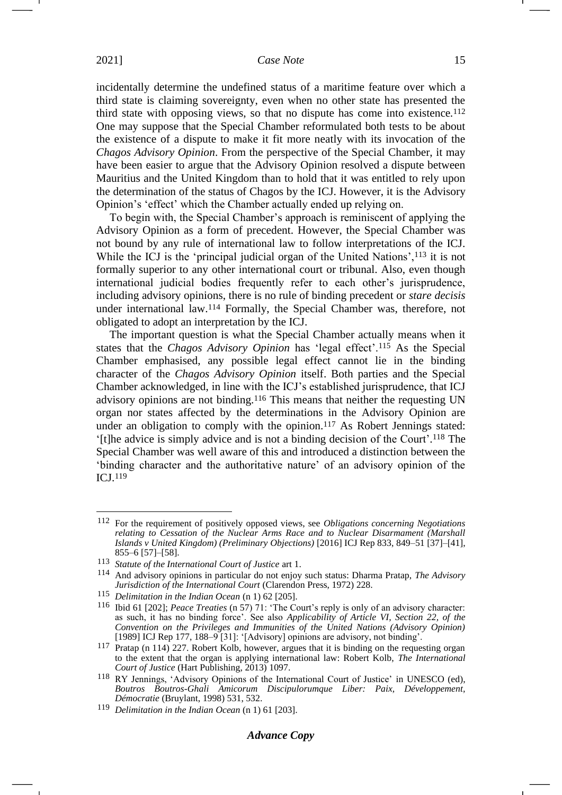incidentally determine the undefined status of a maritime feature over which a third state is claiming sovereignty, even when no other state has presented the third state with opposing views, so that no dispute has come into existence.<sup>112</sup> One may suppose that the Special Chamber reformulated both tests to be about the existence of a dispute to make it fit more neatly with its invocation of the *Chagos Advisory Opinion*. From the perspective of the Special Chamber, it may have been easier to argue that the Advisory Opinion resolved a dispute between Mauritius and the United Kingdom than to hold that it was entitled to rely upon the determination of the status of Chagos by the ICJ. However, it is the Advisory Opinion's 'effect' which the Chamber actually ended up relying on.

To begin with, the Special Chamber's approach is reminiscent of applying the Advisory Opinion as a form of precedent. However, the Special Chamber was not bound by any rule of international law to follow interpretations of the ICJ. While the ICJ is the 'principal judicial organ of the United Nations',<sup>113</sup> it is not formally superior to any other international court or tribunal. Also, even though international judicial bodies frequently refer to each other's jurisprudence, including advisory opinions, there is no rule of binding precedent or *stare decisis*  under international law.<sup>114</sup> Formally, the Special Chamber was, therefore, not obligated to adopt an interpretation by the ICJ.

<span id="page-14-0"></span>The important question is what the Special Chamber actually means when it states that the *Chagos Advisory Opinion* has 'legal effect'.<sup>115</sup> As the Special Chamber emphasised, any possible legal effect cannot lie in the binding character of the *Chagos Advisory Opinion* itself. Both parties and the Special Chamber acknowledged, in line with the ICJ's established jurisprudence, that ICJ advisory opinions are not binding.<sup>116</sup> This means that neither the requesting UN organ nor states affected by the determinations in the Advisory Opinion are under an obligation to comply with the opinion.<sup>117</sup> As Robert Jennings stated: '[t]he advice is simply advice and is not a binding decision of the Court'. <sup>118</sup> The Special Chamber was well aware of this and introduced a distinction between the 'binding character and the authoritative nature' of an advisory opinion of the ICJ.<sup>119</sup>

## *Advance Copy*

<sup>112</sup> For the requirement of positively opposed views, see *Obligations concerning Negotiations relating to Cessation of the Nuclear Arms Race and to Nuclear Disarmament (Marshall Islands v United Kingdom) (Preliminary Objections)* [2016] ICJ Rep 833, 849–51 [37]–[41], 855–6 [57]–[58].

<sup>113</sup> *Statute of the International Court of Justice* art 1.

<sup>114</sup> And advisory opinions in particular do not enjoy such status: Dharma Pratap, *The Advisory Jurisdiction of the International Court* (Clarendon Press, 1972) 228.

<sup>115</sup> *Delimitation in the Indian Ocean* (n [1\)](#page-0-1) 62 [205].

<sup>116</sup> Ibid 61 [202]; *Peace Treaties* (n [57\)](#page-7-0) 71: 'The Court's reply is only of an advisory character: as such, it has no binding force'. See also *Applicability of Article VI, Section 22, of the Convention on the Privileges and Immunities of the United Nations (Advisory Opinion)*  [1989] ICJ Rep 177, 188-9<sup>[31]</sup>: '[Advisory] opinions are advisory, not binding'.

<sup>117</sup> Pratap (n [114\)](#page-14-0) 227. Robert Kolb, however, argues that it is binding on the requesting organ to the extent that the organ is applying international law: Robert Kolb, *The International Court of Justice* (Hart Publishing, 2013) 1097.

<sup>118</sup> RY Jennings, 'Advisory Opinions of the International Court of Justice' in UNESCO (ed), *Boutros Boutros-Ghali Amicorum Discipulorumque Liber: Paix, Développement, Démocratie* (Bruylant, 1998) 531, 532.

<sup>119</sup> *Delimitation in the Indian Ocean* (n [1\)](#page-0-1) 61 [203].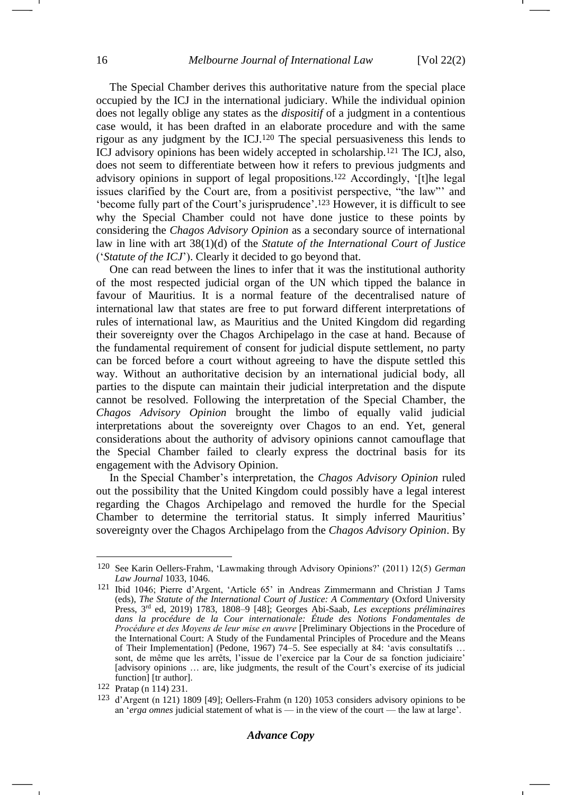<span id="page-15-1"></span><span id="page-15-0"></span>The Special Chamber derives this authoritative nature from the special place occupied by the ICJ in the international judiciary. While the individual opinion does not legally oblige any states as the *dispositif* of a judgment in a contentious case would, it has been drafted in an elaborate procedure and with the same rigour as any judgment by the ICJ.<sup>120</sup> The special persuasiveness this lends to ICJ advisory opinions has been widely accepted in scholarship.<sup>121</sup> The ICJ, also, does not seem to differentiate between how it refers to previous judgments and advisory opinions in support of legal propositions.<sup>122</sup> Accordingly, '[t]he legal issues clarified by the Court are, from a positivist perspective, "the law"' and 'become fully part of the Court's jurisprudence'. <sup>123</sup> However, it is difficult to see why the Special Chamber could not have done justice to these points by considering the *Chagos Advisory Opinion* as a secondary source of international law in line with art 38(1)(d) of the *Statute of the International Court of Justice* ('*Statute of the ICJ*'). Clearly it decided to go beyond that.

One can read between the lines to infer that it was the institutional authority of the most respected judicial organ of the UN which tipped the balance in favour of Mauritius. It is a normal feature of the decentralised nature of international law that states are free to put forward different interpretations of rules of international law, as Mauritius and the United Kingdom did regarding their sovereignty over the Chagos Archipelago in the case at hand. Because of the fundamental requirement of consent for judicial dispute settlement, no party can be forced before a court without agreeing to have the dispute settled this way. Without an authoritative decision by an international judicial body, all parties to the dispute can maintain their judicial interpretation and the dispute cannot be resolved. Following the interpretation of the Special Chamber, the *Chagos Advisory Opinion* brought the limbo of equally valid judicial interpretations about the sovereignty over Chagos to an end. Yet, general considerations about the authority of advisory opinions cannot camouflage that the Special Chamber failed to clearly express the doctrinal basis for its engagement with the Advisory Opinion.

In the Special Chamber's interpretation, the *Chagos Advisory Opinion* ruled out the possibility that the United Kingdom could possibly have a legal interest regarding the Chagos Archipelago and removed the hurdle for the Special Chamber to determine the territorial status. It simply inferred Mauritius' sovereignty over the Chagos Archipelago from the *Chagos Advisory Opinion*. By

<sup>120</sup> See Karin Oellers-Frahm, 'Lawmaking through Advisory Opinions?' (2011) 12(5) *German Law Journal* 1033, 1046.

<sup>121</sup> Ibid 1046; Pierre d'Argent, 'Article 65' in Andreas Zimmermann and Christian J Tams (eds), *The Statute of the International Court of Justice: A Commentary* (Oxford University Press, 3rd ed, 2019) 1783, 1808–9 [48]; Georges Abi-Saab, *Les exceptions préliminaires dans la procédure de la Cour internationale: Étude des Notions Fondamentales de Procédure et des Moyens de leur mise en œuvre* [Preliminary Objections in the Procedure of the International Court: A Study of the Fundamental Principles of Procedure and the Means of Their Implementation] (Pedone, 1967) 74–5. See especially at 84: 'avis consultatifs … sont, de même que les arrêts, l'issue de l'exercice par la Cour de sa fonction judiciaire' [advisory opinions … are, like judgments, the result of the Court's exercise of its judicial function] [tr author].

<sup>122</sup> Pratap (n [114\)](#page-14-0) 231.

<sup>123</sup> d'Argent (n [121\)](#page-15-0) 1809 [49]; Oellers-Frahm (n [120\)](#page-15-1) 1053 considers advisory opinions to be an '*erga omnes* judicial statement of what is — in the view of the court — the law at large'.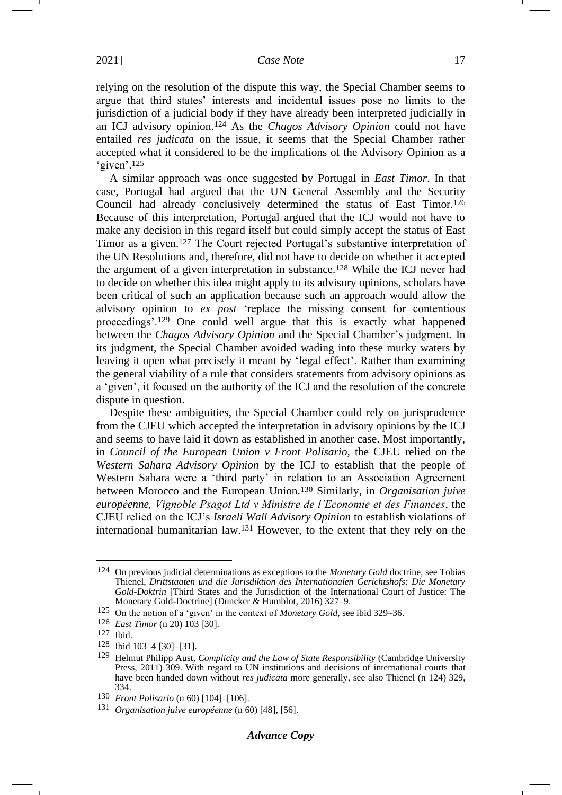<span id="page-16-0"></span>relying on the resolution of the dispute this way, the Special Chamber seems to argue that third states' interests and incidental issues pose no limits to the jurisdiction of a judicial body if they have already been interpreted judicially in an ICJ advisory opinion.<sup>124</sup> As the *Chagos Advisory Opinion* could not have entailed *res judicata* on the issue, it seems that the Special Chamber rather accepted what it considered to be the implications of the Advisory Opinion as a 'given'.<sup>125</sup>

A similar approach was once suggested by Portugal in *East Timor*. In that case, Portugal had argued that the UN General Assembly and the Security Council had already conclusively determined the status of East Timor.<sup>126</sup> Because of this interpretation, Portugal argued that the ICJ would not have to make any decision in this regard itself but could simply accept the status of East Timor as a given.<sup>127</sup> The Court rejected Portugal's substantive interpretation of the UN Resolutions and, therefore, did not have to decide on whether it accepted the argument of a given interpretation in substance.<sup>128</sup> While the ICJ never had to decide on whether this idea might apply to its advisory opinions, scholars have been critical of such an application because such an approach would allow the advisory opinion to *ex post* 'replace the missing consent for contentious proceedings'.<sup>129</sup> One could well argue that this is exactly what happened between the *Chagos Advisory Opinion* and the Special Chamber's judgment. In its judgment, the Special Chamber avoided wading into these murky waters by leaving it open what precisely it meant by 'legal effect'. Rather than examining the general viability of a rule that considers statements from advisory opinions as a 'given', it focused on the authority of the ICJ and the resolution of the concrete dispute in question.

Despite these ambiguities, the Special Chamber could rely on jurisprudence from the CJEU which accepted the interpretation in advisory opinions by the ICJ and seems to have laid it down as established in another case. Most importantly, in *Council of the European Union v Front Polisario,* the CJEU relied on the *Western Sahara Advisory Opinion* by the ICJ to establish that the people of Western Sahara were a 'third party' in relation to an Association Agreement between Morocco and the European Union.<sup>130</sup> Similarly, in *Organisation juive européenne, Vignoble Psagot Ltd v Ministre de l'Economie et des Finances*, the CJEU relied on the ICJ's *Israeli Wall Advisory Opinion* to establish violations of international humanitarian law.<sup>131</sup> However, to the extent that they rely on the

<sup>124</sup> On previous judicial determinations as exceptions to the *Monetary Gold* doctrine, see Tobias Thienel, *Drittstaaten und die Jurisdiktion des Internationalen Gerichtshofs: Die Monetary Gold-Doktrin* [Third States and the Jurisdiction of the International Court of Justice: The Monetary Gold-Doctrine] (Duncker & Humblot, 2016) 327–9.

<sup>125</sup> On the notion of a 'given' in the context of *Monetary Gold*, see ibid 329–36.

<sup>126</sup> *East Timor* (n [20\)](#page-3-2) 103 [30].

<sup>127</sup> Ibid.

<sup>128</sup> Ibid 103–4 [30]–[31].

<sup>129</sup> Helmut Philipp Aust, *Complicity and the Law of State Responsibility* (Cambridge University Press, 2011) 309. With regard to UN institutions and decisions of international courts that have been handed down without *res judicata* more generally, see also Thienel (n [124\)](#page-16-0) 329, 334.

<sup>130</sup> *Front Polisario* (n [60\)](#page-7-1) [104]–[106].

<sup>131</sup> *Organisation juive européenne* (n [60\)](#page-7-1) [48], [56].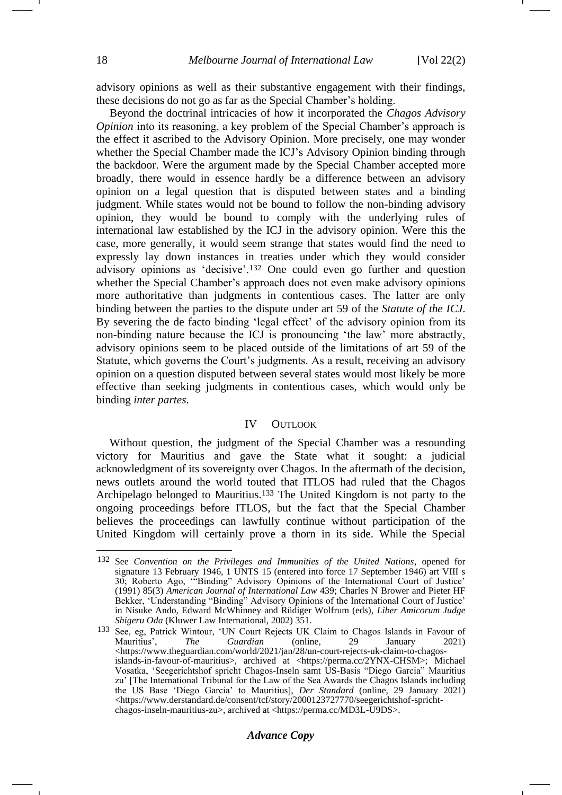advisory opinions as well as their substantive engagement with their findings, these decisions do not go as far as the Special Chamber's holding.

Beyond the doctrinal intricacies of how it incorporated the *Chagos Advisory Opinion* into its reasoning, a key problem of the Special Chamber's approach is the effect it ascribed to the Advisory Opinion. More precisely, one may wonder whether the Special Chamber made the ICJ's Advisory Opinion binding through the backdoor. Were the argument made by the Special Chamber accepted more broadly, there would in essence hardly be a difference between an advisory opinion on a legal question that is disputed between states and a binding judgment. While states would not be bound to follow the non-binding advisory opinion, they would be bound to comply with the underlying rules of international law established by the ICJ in the advisory opinion. Were this the case, more generally, it would seem strange that states would find the need to expressly lay down instances in treaties under which they would consider advisory opinions as 'decisive'.<sup>132</sup> One could even go further and question whether the Special Chamber's approach does not even make advisory opinions more authoritative than judgments in contentious cases. The latter are only binding between the parties to the dispute under art 59 of the *Statute of the ICJ*. By severing the de facto binding 'legal effect' of the advisory opinion from its non-binding nature because the ICJ is pronouncing 'the law' more abstractly, advisory opinions seem to be placed outside of the limitations of art 59 of the Statute, which governs the Court's judgments. As a result, receiving an advisory opinion on a question disputed between several states would most likely be more effective than seeking judgments in contentious cases, which would only be binding *inter partes*.

## IV OUTLOOK

<span id="page-17-0"></span>Without question, the judgment of the Special Chamber was a resounding victory for Mauritius and gave the State what it sought: a judicial acknowledgment of its sovereignty over Chagos. In the aftermath of the decision, news outlets around the world touted that ITLOS had ruled that the Chagos Archipelago belonged to Mauritius.<sup>133</sup> The United Kingdom is not party to the ongoing proceedings before ITLOS, but the fact that the Special Chamber believes the proceedings can lawfully continue without participation of the United Kingdom will certainly prove a thorn in its side. While the Special

<sup>132</sup> See *Convention on the Privileges and Immunities of the United Nations*, opened for signature 13 February 1946, 1 UNTS 15 (entered into force 17 September 1946) art VIII s 30; Roberto Ago, '"Binding" Advisory Opinions of the International Court of Justice' (1991) 85(3) *American Journal of International Law* 439; Charles N Brower and Pieter HF Bekker, 'Understanding "Binding" Advisory Opinions of the International Court of Justice' in Nisuke Ando, Edward McWhinney and Rüdiger Wolfrum (eds), *Liber Amicorum Judge Shigeru Oda* (Kluwer Law International, 2002) 351.

<sup>&</sup>lt;sup>133</sup> See, eg, Patrick Wintour, 'UN Court Rejects UK Claim to Chagos Islands in Favour of Mauritius', The Guardian (online, 29 January 2021) Mauritius', *The Guardian* (online, 29 January 2021) [<https://www.theguardian.com/world/2021/jan/28/un-court-rejects-uk-claim-to-chagos](https://www.theguardian.com/world/2021/jan/28/un-court-rejects-uk-claim-to-chagos-islands-in-favour-of-mauritius)[islands-in-favour-of-mauritius>](https://www.theguardian.com/world/2021/jan/28/un-court-rejects-uk-claim-to-chagos-islands-in-favour-of-mauritius), archived at <https://perma.cc/2YNX-CHSM>; Michael Vosatka, 'Seegerichtshof spricht Chagos-Inseln samt US-Basis "Diego Garcia" Mauritius zu' [The International Tribunal for the Law of the Sea Awards the Chagos Islands including the US Base 'Diego Garcia' to Mauritius], *Der Standard* (online, 29 January 2021) <https://www.derstandard.de/consent/tcf/story/2000123727770/seegerichtshof-sprichtchagos-inseln-mauritius-zu>, archived at <https://perma.cc/MD3L-U9DS>.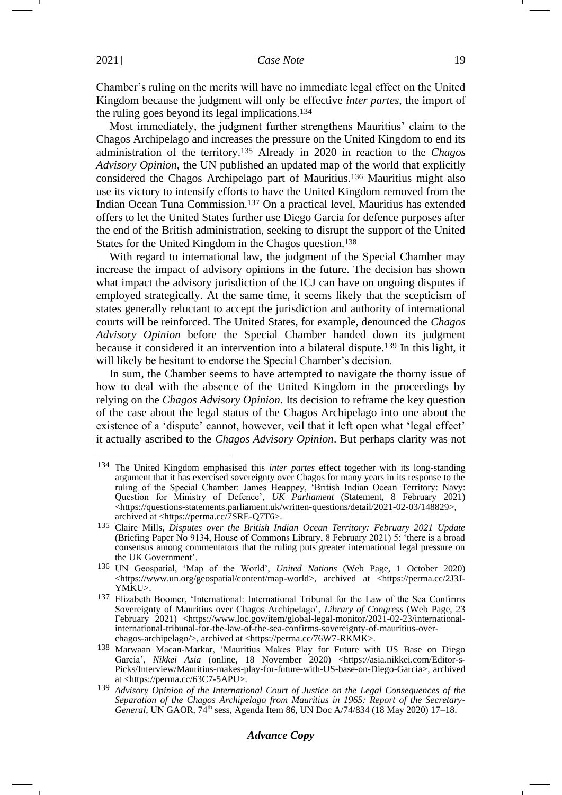Chamber's ruling on the merits will have no immediate legal effect on the United Kingdom because the judgment will only be effective *inter partes*, the import of the ruling goes beyond its legal implications.<sup>134</sup>

Most immediately, the judgment further strengthens Mauritius' claim to the Chagos Archipelago and increases the pressure on the United Kingdom to end its administration of the territory.<sup>135</sup> Already in 2020 in reaction to the *Chagos Advisory Opinion*, the UN published an updated map of the world that explicitly considered the Chagos Archipelago part of Mauritius.<sup>136</sup> Mauritius might also use its victory to intensify efforts to have the United Kingdom removed from the Indian Ocean Tuna Commission.<sup>137</sup> On a practical level, Mauritius has extended offers to let the United States further use Diego Garcia for defence purposes after the end of the British administration, seeking to disrupt the support of the United States for the United Kingdom in the Chagos question.<sup>138</sup>

With regard to international law, the judgment of the Special Chamber may increase the impact of advisory opinions in the future. The decision has shown what impact the advisory jurisdiction of the ICJ can have on ongoing disputes if employed strategically. At the same time, it seems likely that the scepticism of states generally reluctant to accept the jurisdiction and authority of international courts will be reinforced. The United States, for example, denounced the *Chagos Advisory Opinion* before the Special Chamber handed down its judgment because it considered it an intervention into a bilateral dispute.<sup>139</sup> In this light, it will likely be hesitant to endorse the Special Chamber's decision.

In sum, the Chamber seems to have attempted to navigate the thorny issue of how to deal with the absence of the United Kingdom in the proceedings by relying on the *Chagos Advisory Opinion*. Its decision to reframe the key question of the case about the legal status of the Chagos Archipelago into one about the existence of a 'dispute' cannot, however, veil that it left open what 'legal effect' it actually ascribed to the *Chagos Advisory Opinion*. But perhaps clarity was not

<sup>134</sup> The United Kingdom emphasised this *inter partes* effect together with its long-standing argument that it has exercised sovereignty over Chagos for many years in its response to the ruling of the Special Chamber: James Heappey, 'British Indian Ocean Territory: Navy: Question for Ministry of Defence', *UK Parliament* (Statement, 8 February 2021) <https://questions-statements.parliament.uk/written-questions/detail/2021-02-03/148829>, archived at <https://perma.cc/7SRE-Q7T6>.

<sup>135</sup> Claire Mills, *Disputes over the British Indian Ocean Territory: February 2021 Update* (Briefing Paper No 9134, House of Commons Library, 8 February 2021) 5: 'there is a broad consensus among commentators that the ruling puts greater international legal pressure on the UK Government'.

<sup>136</sup> UN Geospatial, 'Map of the World', *United Nations* (Web Page, 1 October 2020) <https://www.un.org/geospatial/content/map-world>, archived at <https://perma.cc/2J3J-YMKU>.

<sup>137</sup> Elizabeth Boomer, 'International: International Tribunal for the Law of the Sea Confirms Sovereignty of Mauritius over Chagos Archipelago', *Library of Congress* (Web Page, 23 February 2021) [<https://www.loc.gov/item/global-legal-monitor/2021-02-23/international](https://www.loc.gov/item/global-legal-monitor/2021-02-23/international-international-tribunal-for-the-law-of-the-sea-confirms-sovereignty-of-mauritius-over-chagos-archipelago/)[international-tribunal-for-the-law-of-the-sea-confirms-sovereignty-of-mauritius-over](https://www.loc.gov/item/global-legal-monitor/2021-02-23/international-international-tribunal-for-the-law-of-the-sea-confirms-sovereignty-of-mauritius-over-chagos-archipelago/)[chagos-archipelago/>](https://www.loc.gov/item/global-legal-monitor/2021-02-23/international-international-tribunal-for-the-law-of-the-sea-confirms-sovereignty-of-mauritius-over-chagos-archipelago/), archived at <https://perma.cc/76W7-RKMK>.

<sup>138</sup> Marwaan Macan-Markar, 'Mauritius Makes Play for Future with US Base on Diego Garcia', *Nikkei Asia* (online, 18 November 2020) <https://asia.nikkei.com/Editor-s-Picks/Interview/Mauritius-makes-play-for-future-with-US-base-on-Diego-Garcia>, archived at <https://perma.cc/63C7-5APU>.

<sup>139</sup> *Advisory Opinion of the International Court of Justice on the Legal Consequences of the Separation of the Chagos Archipelago from Mauritius in 1965: Report of the Secretary-General*, UN GAOR, 74th sess, Agenda Item 86, UN Doc A/74/834 (18 May 2020) 17–18.